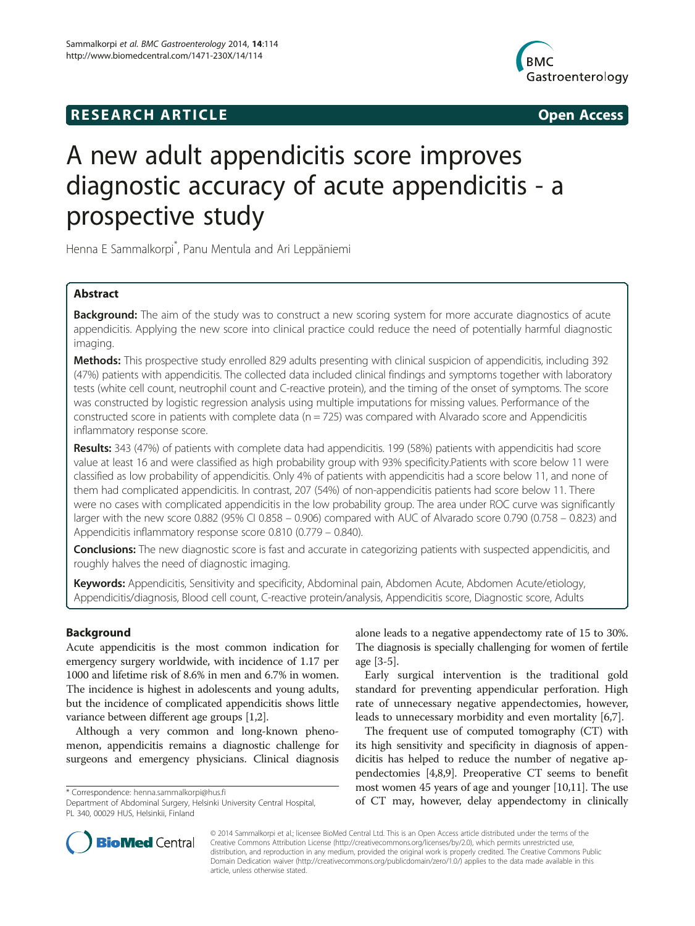# **RESEARCH ARTICLE Example 2014 The SEAR CH ACCESS**



# A new adult appendicitis score improves diagnostic accuracy of acute appendicitis - a prospective study

Henna E Sammalkorpi\* , Panu Mentula and Ari Leppäniemi

# Abstract

Background: The aim of the study was to construct a new scoring system for more accurate diagnostics of acute appendicitis. Applying the new score into clinical practice could reduce the need of potentially harmful diagnostic imaging.

Methods: This prospective study enrolled 829 adults presenting with clinical suspicion of appendicitis, including 392 (47%) patients with appendicitis. The collected data included clinical findings and symptoms together with laboratory tests (white cell count, neutrophil count and C-reactive protein), and the timing of the onset of symptoms. The score was constructed by logistic regression analysis using multiple imputations for missing values. Performance of the constructed score in patients with complete data ( $n = 725$ ) was compared with Alvarado score and Appendicitis inflammatory response score.

Results: 343 (47%) of patients with complete data had appendicitis. 199 (58%) patients with appendicitis had score value at least 16 and were classified as high probability group with 93% specificity.Patients with score below 11 were classified as low probability of appendicitis. Only 4% of patients with appendicitis had a score below 11, and none of them had complicated appendicitis. In contrast, 207 (54%) of non-appendicitis patients had score below 11. There were no cases with complicated appendicitis in the low probability group. The area under ROC curve was significantly larger with the new score 0.882 (95% CI 0.858 – 0.906) compared with AUC of Alvarado score 0.790 (0.758 – 0.823) and Appendicitis inflammatory response score 0.810 (0.779 – 0.840).

Conclusions: The new diagnostic score is fast and accurate in categorizing patients with suspected appendicitis, and roughly halves the need of diagnostic imaging.

Keywords: Appendicitis, Sensitivity and specificity, Abdominal pain, Abdomen Acute, Abdomen Acute/etiology, Appendicitis/diagnosis, Blood cell count, C-reactive protein/analysis, Appendicitis score, Diagnostic score, Adults

# **Background**

Acute appendicitis is the most common indication for emergency surgery worldwide, with incidence of 1.17 per 1000 and lifetime risk of 8.6% in men and 6.7% in women. The incidence is highest in adolescents and young adults, but the incidence of complicated appendicitis shows little variance between different age groups [\[1,2](#page-6-0)].

Although a very common and long-known phenomenon, appendicitis remains a diagnostic challenge for surgeons and emergency physicians. Clinical diagnosis alone leads to a negative appendectomy rate of 15 to 30%. The diagnosis is specially challenging for women of fertile age [[3-5\]](#page-6-0).

Early surgical intervention is the traditional gold standard for preventing appendicular perforation. High rate of unnecessary negative appendectomies, however, leads to unnecessary morbidity and even mortality [[6,7\]](#page-6-0).

The frequent use of computed tomography (CT) with its high sensitivity and specificity in diagnosis of appendicitis has helped to reduce the number of negative appendectomies [\[4,8,9\]](#page-6-0). Preoperative CT seems to benefit most women 45 years of age and younger [\[10,11\]](#page-6-0). The use \* Correspondence: [henna.sammalkorpi@hus.fi](mailto:henna.sammalkorpi@hus.fi)<br>Department of Abdominal Surgery, Helsinki University Central Hospital, **but appendectomy in clinically** appendectomy in clinically



© 2014 Sammalkorpi et al.; licensee BioMed Central Ltd. This is an Open Access article distributed under the terms of the Creative Commons Attribution License (<http://creativecommons.org/licenses/by/2.0>), which permits unrestricted use, distribution, and reproduction in any medium, provided the original work is properly credited. The Creative Commons Public Domain Dedication waiver [\(http://creativecommons.org/publicdomain/zero/1.0/\)](http://creativecommons.org/publicdomain/zero/1.0/) applies to the data made available in this article, unless otherwise stated.

Department of Abdominal Surgery, Helsinki University Central Hospital, PL 340, 00029 HUS, Helsinkii, Finland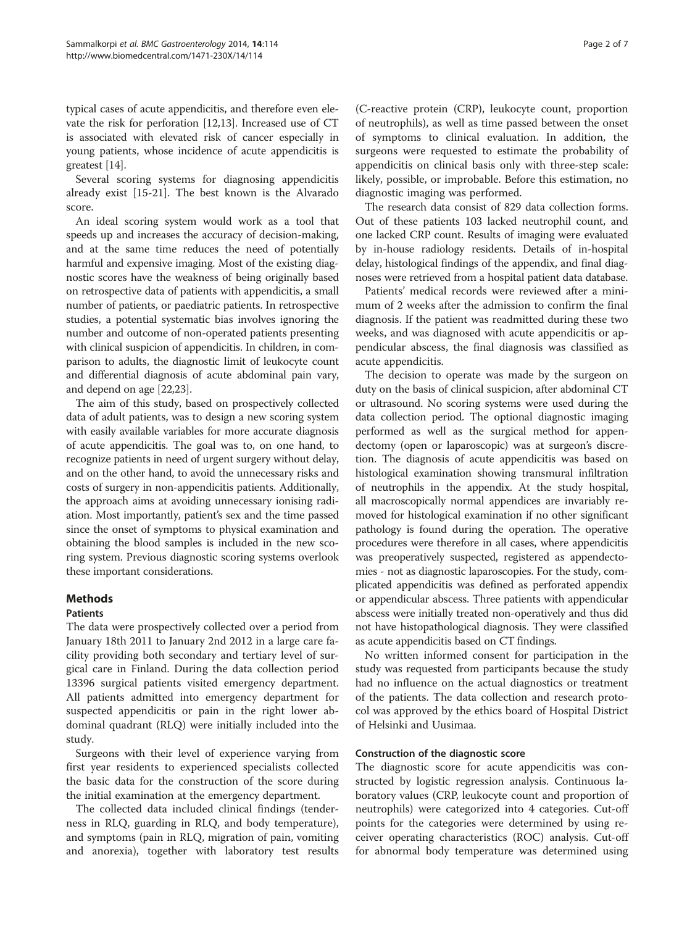typical cases of acute appendicitis, and therefore even elevate the risk for perforation [\[12,13](#page-6-0)]. Increased use of CT is associated with elevated risk of cancer especially in young patients, whose incidence of acute appendicitis is greatest [\[14](#page-6-0)].

Several scoring systems for diagnosing appendicitis already exist [\[15-21](#page-6-0)]. The best known is the Alvarado score.

An ideal scoring system would work as a tool that speeds up and increases the accuracy of decision-making, and at the same time reduces the need of potentially harmful and expensive imaging. Most of the existing diagnostic scores have the weakness of being originally based on retrospective data of patients with appendicitis, a small number of patients, or paediatric patients. In retrospective studies, a potential systematic bias involves ignoring the number and outcome of non-operated patients presenting with clinical suspicion of appendicitis. In children, in comparison to adults, the diagnostic limit of leukocyte count and differential diagnosis of acute abdominal pain vary, and depend on age [\[22,23](#page-6-0)].

The aim of this study, based on prospectively collected data of adult patients, was to design a new scoring system with easily available variables for more accurate diagnosis of acute appendicitis. The goal was to, on one hand, to recognize patients in need of urgent surgery without delay, and on the other hand, to avoid the unnecessary risks and costs of surgery in non-appendicitis patients. Additionally, the approach aims at avoiding unnecessary ionising radiation. Most importantly, patient's sex and the time passed since the onset of symptoms to physical examination and obtaining the blood samples is included in the new scoring system. Previous diagnostic scoring systems overlook these important considerations.

# Methods

# Patients

The data were prospectively collected over a period from January 18th 2011 to January 2nd 2012 in a large care facility providing both secondary and tertiary level of surgical care in Finland. During the data collection period 13396 surgical patients visited emergency department. All patients admitted into emergency department for suspected appendicitis or pain in the right lower abdominal quadrant (RLQ) were initially included into the study.

Surgeons with their level of experience varying from first year residents to experienced specialists collected the basic data for the construction of the score during the initial examination at the emergency department.

The collected data included clinical findings (tenderness in RLQ, guarding in RLQ, and body temperature), and symptoms (pain in RLQ, migration of pain, vomiting and anorexia), together with laboratory test results

(C-reactive protein (CRP), leukocyte count, proportion of neutrophils), as well as time passed between the onset of symptoms to clinical evaluation. In addition, the surgeons were requested to estimate the probability of appendicitis on clinical basis only with three-step scale: likely, possible, or improbable. Before this estimation, no diagnostic imaging was performed.

The research data consist of 829 data collection forms. Out of these patients 103 lacked neutrophil count, and one lacked CRP count. Results of imaging were evaluated by in-house radiology residents. Details of in-hospital delay, histological findings of the appendix, and final diagnoses were retrieved from a hospital patient data database.

Patients' medical records were reviewed after a minimum of 2 weeks after the admission to confirm the final diagnosis. If the patient was readmitted during these two weeks, and was diagnosed with acute appendicitis or appendicular abscess, the final diagnosis was classified as acute appendicitis.

The decision to operate was made by the surgeon on duty on the basis of clinical suspicion, after abdominal CT or ultrasound. No scoring systems were used during the data collection period. The optional diagnostic imaging performed as well as the surgical method for appendectomy (open or laparoscopic) was at surgeon's discretion. The diagnosis of acute appendicitis was based on histological examination showing transmural infiltration of neutrophils in the appendix. At the study hospital, all macroscopically normal appendices are invariably removed for histological examination if no other significant pathology is found during the operation. The operative procedures were therefore in all cases, where appendicitis was preoperatively suspected, registered as appendectomies - not as diagnostic laparoscopies. For the study, complicated appendicitis was defined as perforated appendix or appendicular abscess. Three patients with appendicular abscess were initially treated non-operatively and thus did not have histopathological diagnosis. They were classified as acute appendicitis based on CT findings.

No written informed consent for participation in the study was requested from participants because the study had no influence on the actual diagnostics or treatment of the patients. The data collection and research protocol was approved by the ethics board of Hospital District of Helsinki and Uusimaa.

# Construction of the diagnostic score

The diagnostic score for acute appendicitis was constructed by logistic regression analysis. Continuous laboratory values (CRP, leukocyte count and proportion of neutrophils) were categorized into 4 categories. Cut-off points for the categories were determined by using receiver operating characteristics (ROC) analysis. Cut-off for abnormal body temperature was determined using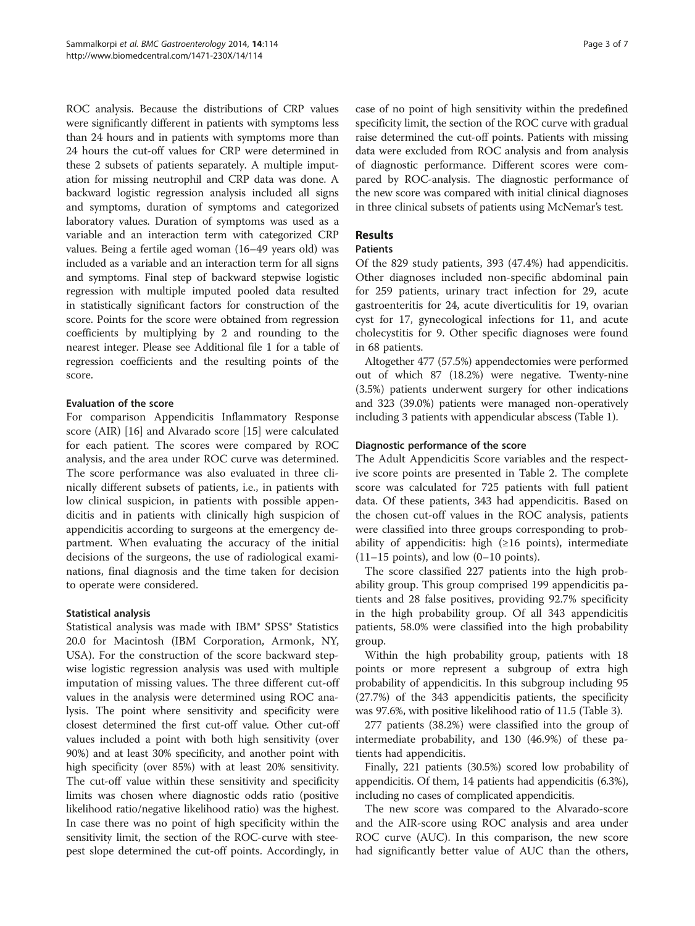ROC analysis. Because the distributions of CRP values were significantly different in patients with symptoms less than 24 hours and in patients with symptoms more than 24 hours the cut-off values for CRP were determined in these 2 subsets of patients separately. A multiple imputation for missing neutrophil and CRP data was done. A backward logistic regression analysis included all signs and symptoms, duration of symptoms and categorized laboratory values. Duration of symptoms was used as a variable and an interaction term with categorized CRP values. Being a fertile aged woman (16–49 years old) was included as a variable and an interaction term for all signs and symptoms. Final step of backward stepwise logistic regression with multiple imputed pooled data resulted in statistically significant factors for construction of the score. Points for the score were obtained from regression coefficients by multiplying by 2 and rounding to the nearest integer. Please see Additional file [1](#page-6-0) for a table of regression coefficients and the resulting points of the score.

# Evaluation of the score

For comparison Appendicitis Inflammatory Response score (AIR) [[16\]](#page-6-0) and Alvarado score [\[15](#page-6-0)] were calculated for each patient. The scores were compared by ROC analysis, and the area under ROC curve was determined. The score performance was also evaluated in three clinically different subsets of patients, i.e., in patients with low clinical suspicion, in patients with possible appendicitis and in patients with clinically high suspicion of appendicitis according to surgeons at the emergency department. When evaluating the accuracy of the initial decisions of the surgeons, the use of radiological examinations, final diagnosis and the time taken for decision to operate were considered.

# Statistical analysis

Statistical analysis was made with IBM® SPSS® Statistics 20.0 for Macintosh (IBM Corporation, Armonk, NY, USA). For the construction of the score backward stepwise logistic regression analysis was used with multiple imputation of missing values. The three different cut-off values in the analysis were determined using ROC analysis. The point where sensitivity and specificity were closest determined the first cut-off value. Other cut-off values included a point with both high sensitivity (over 90%) and at least 30% specificity, and another point with high specificity (over 85%) with at least 20% sensitivity. The cut-off value within these sensitivity and specificity limits was chosen where diagnostic odds ratio (positive likelihood ratio/negative likelihood ratio) was the highest. In case there was no point of high specificity within the sensitivity limit, the section of the ROC-curve with steepest slope determined the cut-off points. Accordingly, in

case of no point of high sensitivity within the predefined specificity limit, the section of the ROC curve with gradual raise determined the cut-off points. Patients with missing data were excluded from ROC analysis and from analysis of diagnostic performance. Different scores were compared by ROC-analysis. The diagnostic performance of the new score was compared with initial clinical diagnoses in three clinical subsets of patients using McNemar's test.

# Results

## Patients

Of the 829 study patients, 393 (47.4%) had appendicitis. Other diagnoses included non-specific abdominal pain for 259 patients, urinary tract infection for 29, acute gastroenteritis for 24, acute diverticulitis for 19, ovarian cyst for 17, gynecological infections for 11, and acute cholecystitis for 9. Other specific diagnoses were found in 68 patients.

Altogether 477 (57.5%) appendectomies were performed out of which 87 (18.2%) were negative. Twenty-nine (3.5%) patients underwent surgery for other indications and 323 (39.0%) patients were managed non-operatively including 3 patients with appendicular abscess (Table [1\)](#page-3-0).

# Diagnostic performance of the score

The Adult Appendicitis Score variables and the respective score points are presented in Table [2](#page-3-0). The complete score was calculated for 725 patients with full patient data. Of these patients, 343 had appendicitis. Based on the chosen cut-off values in the ROC analysis, patients were classified into three groups corresponding to probability of appendicitis: high  $(≥16$  points), intermediate  $(11–15 \text{ points})$ , and low  $(0–10 \text{ points})$ .

The score classified 227 patients into the high probability group. This group comprised 199 appendicitis patients and 28 false positives, providing 92.7% specificity in the high probability group. Of all 343 appendicitis patients, 58.0% were classified into the high probability group.

Within the high probability group, patients with 18 points or more represent a subgroup of extra high probability of appendicitis. In this subgroup including 95 (27.7%) of the 343 appendicitis patients, the specificity was 97.6%, with positive likelihood ratio of 11.5 (Table [3\)](#page-3-0).

277 patients (38.2%) were classified into the group of intermediate probability, and 130 (46.9%) of these patients had appendicitis.

Finally, 221 patients (30.5%) scored low probability of appendicitis. Of them, 14 patients had appendicitis (6.3%), including no cases of complicated appendicitis.

The new score was compared to the Alvarado-score and the AIR-score using ROC analysis and area under ROC curve (AUC). In this comparison, the new score had significantly better value of AUC than the others,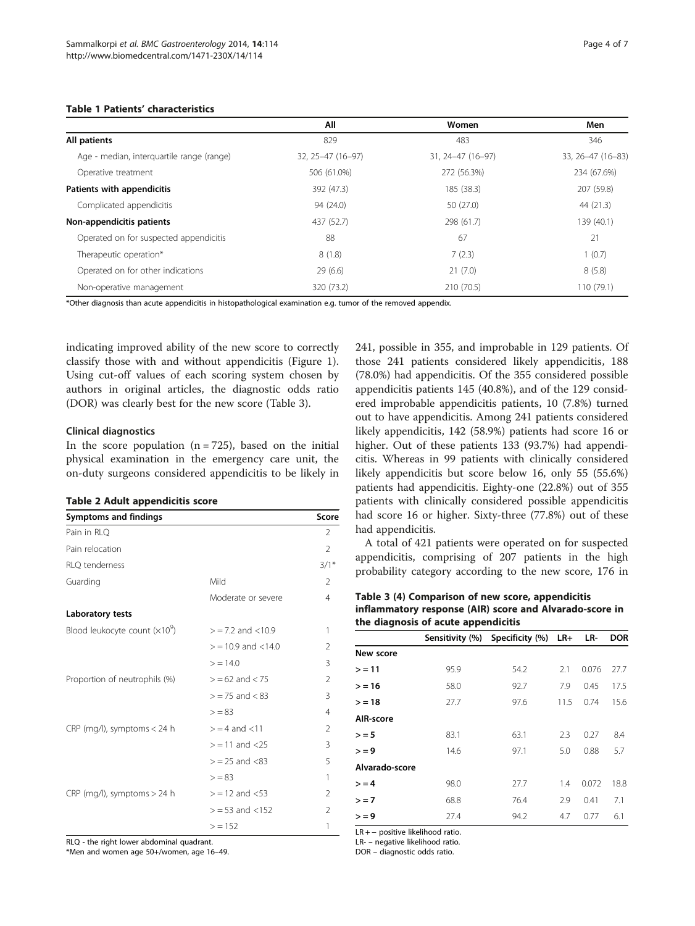# <span id="page-3-0"></span>Table 1 Patients' characteristics

|                                           | All               | Women             | Men               |
|-------------------------------------------|-------------------|-------------------|-------------------|
| All patients                              | 829               | 483               | 346               |
| Age - median, interguartile range (range) | 32, 25-47 (16-97) | 31, 24-47 (16-97) | 33, 26-47 (16-83) |
| Operative treatment                       | 506 (61.0%)       | 272 (56.3%)       | 234 (67.6%)       |
| Patients with appendicitis                | 392 (47.3)        | 185 (38.3)        | 207 (59.8)        |
| Complicated appendicitis                  | 94 (24.0)         | 50 (27.0)         | 44 (21.3)         |
| Non-appendicitis patients                 | 437 (52.7)        | 298 (61.7)        | 139 (40.1)        |
| Operated on for suspected appendicitis    | 88                | 67                | 21                |
| Therapeutic operation*                    | 8(1.8)            | 7(2.3)            | 1(0.7)            |
| Operated on for other indications         | 29(6.6)           | 21(7.0)           | 8(5.8)            |
| Non-operative management                  | 320 (73.2)        | 210 (70.5)        | 110(79.1)         |

\*Other diagnosis than acute appendicitis in histopathological examination e.g. tumor of the removed appendix.

indicating improved ability of the new score to correctly classify those with and without appendicitis (Figure [1](#page-4-0)). Using cut-off values of each scoring system chosen by authors in original articles, the diagnostic odds ratio (DOR) was clearly best for the new score (Table 3).

#### Clinical diagnostics

In the score population  $(n = 725)$ , based on the initial physical examination in the emergency care unit, the on-duty surgeons considered appendicitis to be likely in

|  |  | <b>Table 2 Adult appendicitis score</b> |  |
|--|--|-----------------------------------------|--|
|--|--|-----------------------------------------|--|

| <b>Symptoms and findings</b>    |                      | Score          |
|---------------------------------|----------------------|----------------|
| Pain in RLQ                     |                      | $\overline{2}$ |
| Pain relocation                 |                      | $\mathfrak{D}$ |
| RLQ tenderness                  |                      | $3/1*$         |
| Guarding                        | Mild                 | 2              |
|                                 | Moderate or severe   | $\overline{4}$ |
| Laboratory tests                |                      |                |
| Blood leukocyte count $(x10^9)$ | $>$ = 7.2 and <10.9  | 1              |
|                                 | $>$ = 10.9 and <14.0 | 2              |
|                                 | $>$ = 14.0           | 3              |
| Proportion of neutrophils (%)   | $> 62$ and $< 75$    | $\mathfrak{D}$ |
|                                 | $>$ = 75 and < 83    | 3              |
|                                 | $>$ = 83             | $\overline{4}$ |
| CRP (mg/l), symptoms < 24 h     | $>$ = 4 and <11      | $\overline{2}$ |
|                                 | $>$ = 11 and <25     | 3              |
|                                 | $>$ = 25 and <83     | 5              |
|                                 | $>= 83$              | 1              |
| CRP (mg/l), symptoms > 24 h     | $>$ = 12 and $<$ 53  | $\overline{2}$ |
|                                 | $>$ = 53 and <152    | $\mathfrak{D}$ |
|                                 | > 152                | 1              |

RLQ - the right lower abdominal quadrant.

\*Men and women age 50+/women, age 16–49.

241, possible in 355, and improbable in 129 patients. Of those 241 patients considered likely appendicitis, 188 (78.0%) had appendicitis. Of the 355 considered possible appendicitis patients 145 (40.8%), and of the 129 considered improbable appendicitis patients, 10 (7.8%) turned out to have appendicitis. Among 241 patients considered likely appendicitis, 142 (58.9%) patients had score 16 or higher. Out of these patients 133 (93.7%) had appendicitis. Whereas in 99 patients with clinically considered likely appendicitis but score below 16, only 55 (55.6%) patients had appendicitis. Eighty-one (22.8%) out of 355 patients with clinically considered possible appendicitis had score 16 or higher. Sixty-three (77.8%) out of these had appendicitis.

A total of 421 patients were operated on for suspected appendicitis, comprising of 207 patients in the high probability category according to the new score, 176 in

Table 3 (4) Comparison of new score, appendicitis inflammatory response (AIR) score and Alvarado-score in the diagnosis of acute appendicitis

|                | Sensitivity (%) | Specificity (%) LR+ |      | LR-   | <b>DOR</b> |
|----------------|-----------------|---------------------|------|-------|------------|
| New score      |                 |                     |      |       |            |
| > 11           | 95.9            | 54.2                | 2.1  | 0.076 | 27.7       |
| > 16           | 58.0            | 92.7                | 7.9  | 0.45  | 17.5       |
| > 18           | 27.7            | 97.6                | 11.5 | 0.74  | 15.6       |
| AIR-score      |                 |                     |      |       |            |
| $>$ = 5        | 83.1            | 63.1                | 2.3  | 0.27  | 8.4        |
| > 9            | 14.6            | 97.1                | 5.0  | 0.88  | 5.7        |
| Alvarado-score |                 |                     |      |       |            |
| > 4            | 98.0            | 27.7                | 1.4  | 0.072 | 18.8       |
| $> = 7$        | 68.8            | 76.4                | 2.9  | 0.41  | 7.1        |
| > 9            | 27.4            | 94.2                | 4.7  | 0.77  | 6.1        |
|                |                 |                     |      |       |            |

LR + − positive likelihood ratio.

LR- – negative likelihood ratio.

DOR – diagnostic odds ratio.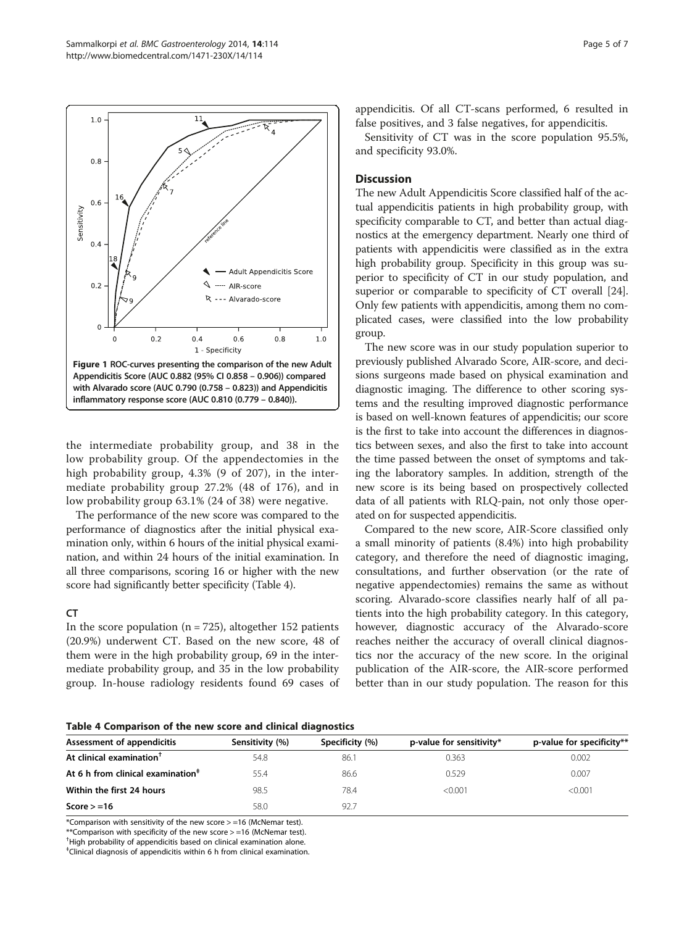<span id="page-4-0"></span>

the intermediate probability group, and 38 in the low probability group. Of the appendectomies in the high probability group, 4.3% (9 of 207), in the intermediate probability group 27.2% (48 of 176), and in low probability group 63.1% (24 of 38) were negative.

The performance of the new score was compared to the performance of diagnostics after the initial physical examination only, within 6 hours of the initial physical examination, and within 24 hours of the initial examination. In all three comparisons, scoring 16 or higher with the new score had significantly better specificity (Table 4).

# CT

In the score population ( $n = 725$ ), altogether 152 patients (20.9%) underwent CT. Based on the new score, 48 of them were in the high probability group, 69 in the intermediate probability group, and 35 in the low probability group. In-house radiology residents found 69 cases of

appendicitis. Of all CT-scans performed, 6 resulted in false positives, and 3 false negatives, for appendicitis.

Sensitivity of CT was in the score population 95.5%, and specificity 93.0%.

# **Discussion**

The new Adult Appendicitis Score classified half of the actual appendicitis patients in high probability group, with specificity comparable to CT, and better than actual diagnostics at the emergency department. Nearly one third of patients with appendicitis were classified as in the extra high probability group. Specificity in this group was superior to specificity of CT in our study population, and superior or comparable to specificity of CT overall [[24](#page-6-0)]. Only few patients with appendicitis, among them no complicated cases, were classified into the low probability group.

The new score was in our study population superior to previously published Alvarado Score, AIR-score, and decisions surgeons made based on physical examination and diagnostic imaging. The difference to other scoring systems and the resulting improved diagnostic performance is based on well-known features of appendicitis; our score is the first to take into account the differences in diagnostics between sexes, and also the first to take into account the time passed between the onset of symptoms and taking the laboratory samples. In addition, strength of the new score is its being based on prospectively collected data of all patients with RLQ-pain, not only those operated on for suspected appendicitis.

Compared to the new score, AIR-Score classified only a small minority of patients (8.4%) into high probability category, and therefore the need of diagnostic imaging, consultations, and further observation (or the rate of negative appendectomies) remains the same as without scoring. Alvarado-score classifies nearly half of all patients into the high probability category. In this category, however, diagnostic accuracy of the Alvarado-score reaches neither the accuracy of overall clinical diagnostics nor the accuracy of the new score. In the original publication of the AIR-score, the AIR-score performed better than in our study population. The reason for this

Table 4 Comparison of the new score and clinical diagnostics

| Assessment of appendicitis                                            | Sensitivity (%) | Specificity (%) | p-value for sensitivity* | p-value for specificity** |
|-----------------------------------------------------------------------|-----------------|-----------------|--------------------------|---------------------------|
| At clinical examination <sup>†</sup>                                  | 54.8            | 86.1            | 0.363                    | 0.002                     |
| At 6 h from clinical examination <sup><math>\overline{a}</math></sup> | 55.4            | 86.6            | 0.529                    | 0.007                     |
| Within the first 24 hours                                             | 98.5            | 78.4            | < 0.001                  | < 0.001                   |
| $Score > = 16$                                                        | 58.0            | 92.7            |                          |                           |

\*Comparison with sensitivity of the new score > =16 (McNemar test).

\*\*Comparison with specificity of the new score > =16 (McNemar test).

† High probability of appendicitis based on clinical examination alone.

‡ Clinical diagnosis of appendicitis within 6 h from clinical examination.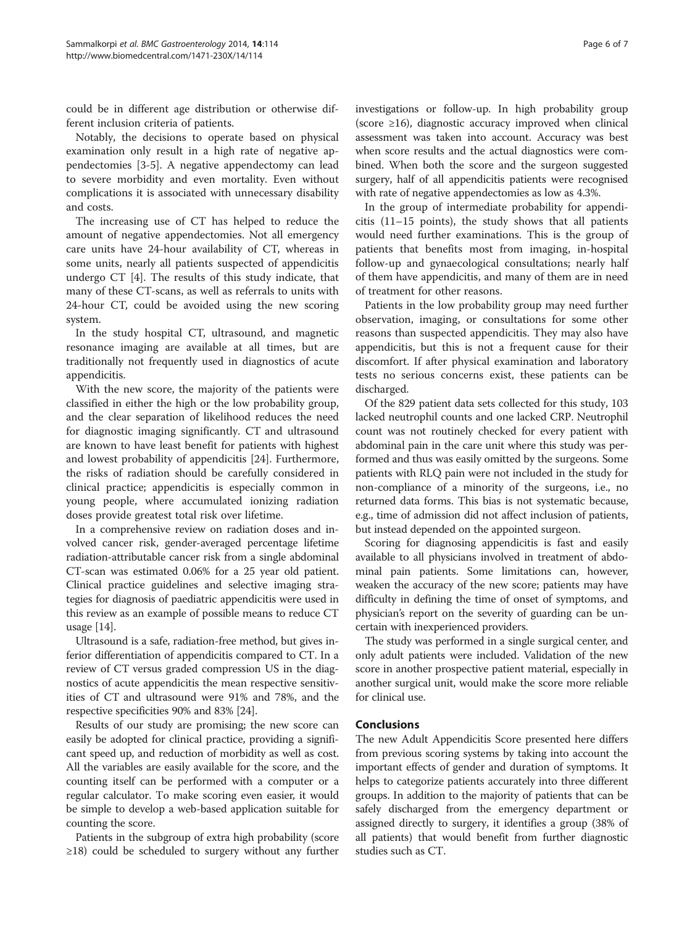could be in different age distribution or otherwise different inclusion criteria of patients.

Notably, the decisions to operate based on physical examination only result in a high rate of negative appendectomies [\[3](#page-6-0)-[5\]](#page-6-0). A negative appendectomy can lead to severe morbidity and even mortality. Even without complications it is associated with unnecessary disability and costs.

The increasing use of CT has helped to reduce the amount of negative appendectomies. Not all emergency care units have 24-hour availability of CT, whereas in some units, nearly all patients suspected of appendicitis undergo CT [[4\]](#page-6-0). The results of this study indicate, that many of these CT-scans, as well as referrals to units with 24-hour CT, could be avoided using the new scoring system.

In the study hospital CT, ultrasound, and magnetic resonance imaging are available at all times, but are traditionally not frequently used in diagnostics of acute appendicitis.

With the new score, the majority of the patients were classified in either the high or the low probability group, and the clear separation of likelihood reduces the need for diagnostic imaging significantly. CT and ultrasound are known to have least benefit for patients with highest and lowest probability of appendicitis [[24\]](#page-6-0). Furthermore, the risks of radiation should be carefully considered in clinical practice; appendicitis is especially common in young people, where accumulated ionizing radiation doses provide greatest total risk over lifetime.

In a comprehensive review on radiation doses and involved cancer risk, gender-averaged percentage lifetime radiation-attributable cancer risk from a single abdominal CT-scan was estimated 0.06% for a 25 year old patient. Clinical practice guidelines and selective imaging strategies for diagnosis of paediatric appendicitis were used in this review as an example of possible means to reduce CT usage [[14](#page-6-0)].

Ultrasound is a safe, radiation-free method, but gives inferior differentiation of appendicitis compared to CT. In a review of CT versus graded compression US in the diagnostics of acute appendicitis the mean respective sensitivities of CT and ultrasound were 91% and 78%, and the respective specificities 90% and 83% [[24](#page-6-0)].

Results of our study are promising; the new score can easily be adopted for clinical practice, providing a significant speed up, and reduction of morbidity as well as cost. All the variables are easily available for the score, and the counting itself can be performed with a computer or a regular calculator. To make scoring even easier, it would be simple to develop a web-based application suitable for counting the score.

Patients in the subgroup of extra high probability (score ≥18) could be scheduled to surgery without any further investigations or follow-up. In high probability group (score ≥16), diagnostic accuracy improved when clinical assessment was taken into account. Accuracy was best when score results and the actual diagnostics were combined. When both the score and the surgeon suggested surgery, half of all appendicitis patients were recognised with rate of negative appendectomies as low as 4.3%.

In the group of intermediate probability for appendicitis (11–15 points), the study shows that all patients would need further examinations. This is the group of patients that benefits most from imaging, in-hospital follow-up and gynaecological consultations; nearly half of them have appendicitis, and many of them are in need of treatment for other reasons.

Patients in the low probability group may need further observation, imaging, or consultations for some other reasons than suspected appendicitis. They may also have appendicitis, but this is not a frequent cause for their discomfort. If after physical examination and laboratory tests no serious concerns exist, these patients can be discharged.

Of the 829 patient data sets collected for this study, 103 lacked neutrophil counts and one lacked CRP. Neutrophil count was not routinely checked for every patient with abdominal pain in the care unit where this study was performed and thus was easily omitted by the surgeons. Some patients with RLQ pain were not included in the study for non-compliance of a minority of the surgeons, i.e., no returned data forms. This bias is not systematic because, e.g., time of admission did not affect inclusion of patients, but instead depended on the appointed surgeon.

Scoring for diagnosing appendicitis is fast and easily available to all physicians involved in treatment of abdominal pain patients. Some limitations can, however, weaken the accuracy of the new score; patients may have difficulty in defining the time of onset of symptoms, and physician's report on the severity of guarding can be uncertain with inexperienced providers.

The study was performed in a single surgical center, and only adult patients were included. Validation of the new score in another prospective patient material, especially in another surgical unit, would make the score more reliable for clinical use.

# **Conclusions**

The new Adult Appendicitis Score presented here differs from previous scoring systems by taking into account the important effects of gender and duration of symptoms. It helps to categorize patients accurately into three different groups. In addition to the majority of patients that can be safely discharged from the emergency department or assigned directly to surgery, it identifies a group (38% of all patients) that would benefit from further diagnostic studies such as CT.